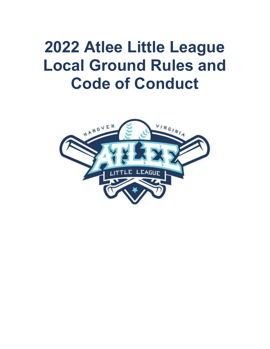# 2022 Atlee Little League Local Ground Rules and Code of Conduct

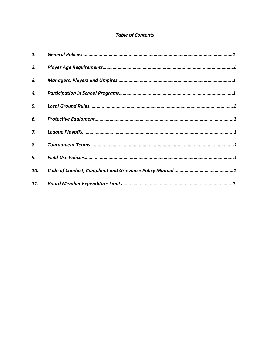## Table of Contents

| 1.  |  |
|-----|--|
| 2.  |  |
| 3.  |  |
| 4.  |  |
| 5.  |  |
| 6.  |  |
| 7.  |  |
| 8.  |  |
| 9.  |  |
| 10. |  |
| 11. |  |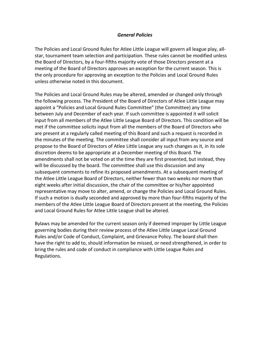#### General Policies

The Policies and Local Ground Rules for Atlee Little League will govern all league play, allstar, tournament team selection and participation. These rules cannot be modified unless the Board of Directors, by a four-fifths majority vote of those Directors present at a meeting of the Board of Directors approves an exception for the current season. This is the only procedure for approving an exception to the Policies and Local Ground Rules unless otherwise noted in this document.

The Policies and Local Ground Rules may be altered, amended or changed only through the following process. The President of the Board of Directors of Atlee Little League may appoint a "Policies and Local Ground Rules Committee" (the Committee) any time between July and December of each year. If such committee is appointed it will solicit input from all members of the Atlee Little League Board of Directors. This condition will be met if the committee solicits input from all the members of the Board of Directors who are present at a regularly called meeting of this Board and such a request is recorded in the minutes of the meeting. The committee shall consider all input from any source and propose to the Board of Directors of Atlee Little League any such changes as it, in its sole discretion deems to be appropriate at a December meeting of this Board. The amendments shall not be voted on at the time they are first presented, but instead, they will be discussed by the board. The committee shall use this discussion and any subsequent comments to refine its proposed amendments. At a subsequent meeting of the Atlee Little League Board of Directors, neither fewer than two weeks nor more than eight weeks after initial discussion, the chair of the committee or his/her appointed representative may move to alter, amend, or change the Policies and Local Ground Rules. If such a motion is dually seconded and approved by more than four-fifths majority of the members of the Atlee Little League Board of Directors present at the meeting, the Policies and Local Ground Rules for Atlee Little League shall be altered.

Bylaws may be amended for the current season only if deemed improper by Little League governing bodies during their review process of the Atlee Little League Local Ground Rules and/or Code of Conduct, Complaint, and Grievance Policy. The board shall then have the right to add to, should information be missed, or need strengthened, in order to bring the rules and code of conduct in compliance with Little League Rules and Regulations.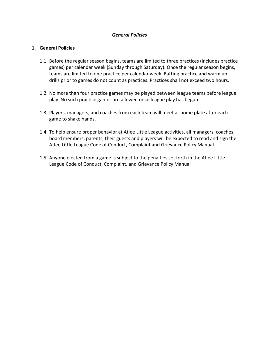## General Policies

#### 1. General Policies

- 1.1. Before the regular season begins, teams are limited to three practices (includes practice games) per calendar week (Sunday through Saturday). Once the regular season begins, teams are limited to one practice per calendar week. Batting practice and warm up drills prior to games do not count as practices. Practices shall not exceed two hours.
- 1.2. No more than four practice games may be played between league teams before league play. No such practice games are allowed once league play has begun.
- 1.3. Players, managers, and coaches from each team will meet at home plate after each game to shake hands.
- 1.4. To help ensure proper behavior at Atlee Little League activities, all managers, coaches, board members, parents, their guests and players will be expected to read and sign the Atlee Little League Code of Conduct, Complaint and Grievance Policy Manual.
- 1.5. Anyone ejected from a game is subject to the penalties set forth in the Atlee Little League Code of Conduct, Complaint, and Grievance Policy Manual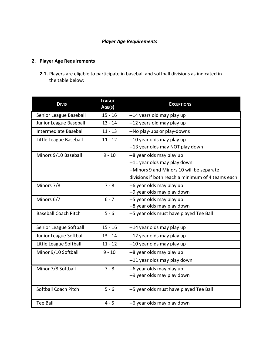## Player Age Requirements

## 2. Player Age Requirements

2.1. Players are eligible to participate in baseball and softball divisions as indicated in the table below:

| <b>DIVIS</b>                | <b>LEAGUE</b><br>AGE(S) | <b>EXCEPTIONS</b>                                 |
|-----------------------------|-------------------------|---------------------------------------------------|
| Senior League Baseball      | $15 - 16$               | --14 years old may play up                        |
| Junior League Baseball      | $13 - 14$               | --12 years old may play up                        |
| Intermediate Baseball       | $11 - 13$               | --No play-ups or play-downs                       |
| Little League Baseball      | $11 - 12$               | --10 year olds may play up                        |
|                             |                         | --13 year olds may NOT play down                  |
| Minors 9/10 Baseball        | $9 - 10$                | --8 year olds may play up                         |
|                             |                         | --11 year olds may play down                      |
|                             |                         | --Minors 9 and Minors 10 will be separate         |
|                             |                         | divisions if both reach a minimum of 4 teams each |
| Minors 7/8                  | $7 - 8$                 | --6 year olds may play up                         |
|                             |                         | --9 year olds may play down                       |
| Minors 6/7                  | $6 - 7$                 | --5 year olds may play up                         |
|                             |                         | --8 year olds may play down                       |
| <b>Baseball Coach Pitch</b> | $5 - 6$                 | --5 year olds must have played Tee Ball           |
| Senior League Softball      | $15 - 16$               | --14 year olds may play up                        |
| Junior League Softball      | $13 - 14$               | --12 year olds may play up                        |
| Little League Softball      | $11 - 12$               | --10 year olds may play up                        |
| Minor 9/10 Softball         | $9 - 10$                | --8 year olds may play up                         |
|                             |                         | --11 year olds may play down                      |
| Minor 7/8 Softball          | $7 - 8$                 | --6 year olds may play up                         |
|                             |                         | --9 year olds may play down                       |
| Softball Coach Pitch        | $5 - 6$                 | --5 year olds must have played Tee Ball           |
| <b>Tee Ball</b>             | $4 - 5$                 | --6 year olds may play down                       |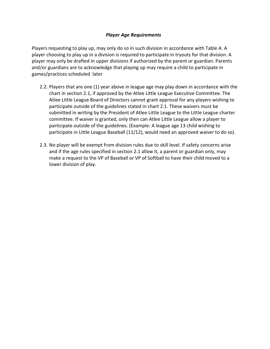## Player Age Requirements

Players requesting to play up, may only do so in such division in accordance with Table A. A player choosing to play up in a division is required to participate in tryouts for that division. A player may only be drafted in upper divisions if authorized by the parent or guardian. Parents and/or guardians are to acknowledge that playing up may require a child to participate in games/practices scheduled later

- 2.2. Players that are one (1) year above in league age may play down in accordance with the chart in section 2.1, if approved by the Atlee Little League Executive Committee. The Atlee Little League Board of Directors cannot grant approval for any players wishing to participate outside of the guidelines stated in chart 2.1. These waivers must be submitted in writing by the President of Atlee Little League to the Little League charter committee. If waiver is granted, only then can Atlee Little League allow a player to participate outside of the guidelines. (Example: A league age 13 child wishing to participate in Little League Baseball (11/12), would need an approved waiver to do so).
- 2.3. No player will be exempt from division rules due to skill level. If safety concerns arise and if the age rules specified in section 2.1 allow it, a parent or guardian only, may make a request to the VP of Baseball or VP of Softball to have their child moved to a lower division of play.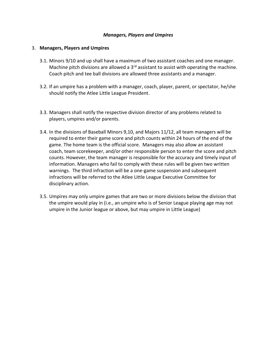#### Managers, Players and Umpires

#### 3. Managers, Players and Umpires

- 3.1. Minors 9/10 and up shall have a maximum of two assistant coaches and one manager. Machine pitch divisions are allowed a  $3<sup>rd</sup>$  assistant to assist with operating the machine. Coach pitch and tee ball divisions are allowed three assistants and a manager.
- 3.2. If an umpire has a problem with a manager, coach, player, parent, or spectator, he/she should notify the Atlee Little League President.
- 3.3. Managers shall notify the respective division director of any problems related to players, umpires and/or parents.
- 3.4. In the divisions of Baseball Minors 9,10, and Majors 11/12, all team managers will be required to enter their game score and pitch counts within 24 hours of the end of the game. The home team is the official score. Managers may also allow an assistant coach, team scorekeeper, and/or other responsible person to enter the score and pitch counts. However, the team manager is responsible for the accuracy and timely input of information. Managers who fail to comply with these rules will be given two written warnings. The third infraction will be a one-game suspension and subsequent infractions will be referred to the Atlee Little League Executive Committee for disciplinary action.
- 3.5. Umpires may only umpire games that are two or more divisions below the division that the umpire would play in (i.e., an umpire who is of Senior League playing age may not umpire in the Junior league or above, but may umpire in Little League)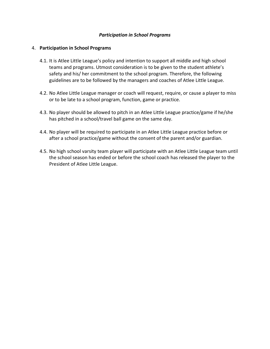#### Participation in School Programs

#### 4. Participation in School Programs

- 4.1. It is Atlee Little League's policy and intention to support all middle and high school teams and programs. Utmost consideration is to be given to the student athlete's safety and his/ her commitment to the school program. Therefore, the following guidelines are to be followed by the managers and coaches of Atlee Little League.
- 4.2. No Atlee Little League manager or coach will request, require, or cause a player to miss or to be late to a school program, function, game or practice.
- 4.3. No player should be allowed to pitch in an Atlee Little League practice/game if he/she has pitched in a school/travel ball game on the same day.
- 4.4. No player will be required to participate in an Atlee Little League practice before or after a school practice/game without the consent of the parent and/or guardian.
- 4.5. No high school varsity team player will participate with an Atlee Little League team until the school season has ended or before the school coach has released the player to the President of Atlee Little League.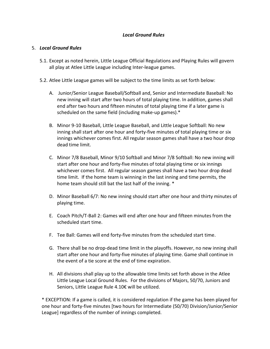#### 5. Local Ground Rules

- 5.1. Except as noted herein, Little League Official Regulations and Playing Rules will govern all play at Atlee Little League including Inter-league games.
- 5.2. Atlee Little League games will be subject to the time limits as set forth below:
	- A. Junior/Senior League Baseball/Softball and, Senior and Intermediate Baseball: No new inning will start after two hours of total playing time. In addition, games shall end after two hours and fifteen minutes of total playing time if a later game is scheduled on the same field (including make-up games).\*
	- B. Minor 9-10 Baseball, Little League Baseball, and Little League Softball: No new inning shall start after one hour and forty-five minutes of total playing time or six innings whichever comes first. All regular season games shall have a two hour drop dead time limit.
	- C. Minor 7/8 Baseball, Minor 9/10 Softball and Minor 7/8 Softball: No new inning will start after one hour and forty-five minutes of total playing time or six innings whichever comes first. All regular season games shall have a two hour drop dead time limit. If the home team is winning in the last inning and time permits, the home team should still bat the last half of the inning. \*
	- D. Minor Baseball 6/7: No new inning should start after one hour and thirty minutes of playing time.
	- E. Coach Pitch/T-Ball 2: Games will end after one hour and fifteen minutes from the scheduled start time.
	- F. Tee Ball: Games will end forty-five minutes from the scheduled start time.
	- G. There shall be no drop-dead time limit in the playoffs. However, no new inning shall start after one hour and forty-five minutes of playing time. Game shall continue in the event of a tie score at the end of time expiration.
	- H. All divisions shall play up to the allowable time limits set forth above in the Atlee Little League Local Ground Rules. For the divisions of Majors, 50/70, Juniors and Seniors, Little League Rule 4.10€ will be utilized.

\* EXCEPTION: If a game is called, it is considered regulation if the game has been played for one hour and forty-five minutes [two hours for Intermediate (50/70) Division/Junior/Senior League] regardless of the number of innings completed.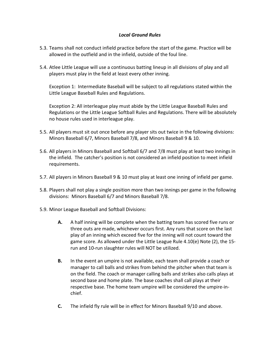- 5.3. Teams shall not conduct infield practice before the start of the game. Practice will be allowed in the outfield and in the infield, outside of the foul line.
- 5.4. Atlee Little League will use a continuous batting lineup in all divisions of play and all players must play in the field at least every other inning.

Exception 1: Intermediate Baseball will be subject to all regulations stated within the Little League Baseball Rules and Regulations.

Exception 2: All interleague play must abide by the Little League Baseball Rules and Regulations or the Little League Softball Rules and Regulations. There will be absolutely no house rules used in interleague play.

- 5.5. All players must sit out once before any player sits out twice in the following divisions: Minors Baseball 6/7, Minors Baseball 7/8, and Minors Baseball 9 & 10.
- 5.6. All players in Minors Baseball and Softball 6/7 and 7/8 must play at least two innings in the infield. The catcher's position is not considered an infield position to meet infield requirements.
- 5.7. All players in Minors Baseball 9 & 10 must play at least one inning of infield per game.
- 5.8. Players shall not play a single position more than two innings per game in the following divisions: Minors Baseball 6/7 and Minors Baseball 7/8.
- 5.9. Minor League Baseball and Softball Divisions:
	- A. A half inning will be complete when the batting team has scored five runs or three outs are made, whichever occurs first. Any runs that score on the last play of an inning which exceed five for the inning will not count toward the game score. As allowed under the Little League Rule 4.10(e) Note (2), the 15 run and 10-run slaughter rules will NOT be utilized.
	- B. In the event an umpire is not available, each team shall provide a coach or manager to call balls and strikes from behind the pitcher when that team is on the field. The coach or manager calling balls and strikes also calls plays at second base and home plate. The base coaches shall call plays at their respective base. The home team umpire will be considered the umpire-inchief.
	- C. The infield fly rule will be in effect for Minors Baseball 9/10 and above.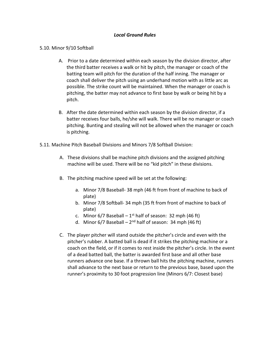#### 5.10. Minor 9/10 Softball

- A. Prior to a date determined within each season by the division director, after the third batter receives a walk or hit by pitch, the manager or coach of the batting team will pitch for the duration of the half inning. The manager or coach shall deliver the pitch using an underhand motion with as little arc as possible. The strike count will be maintained. When the manager or coach is pitching, the batter may not advance to first base by walk or being hit by a pitch.
- B. After the date determined within each season by the division director, if a batter receives four balls, he/she will walk. There will be no manager or coach pitching. Bunting and stealing will not be allowed when the manager or coach is pitching.
- 5.11. Machine Pitch Baseball Divisions and Minors 7/8 Softball Division:
	- A. These divisions shall be machine pitch divisions and the assigned pitching machine will be used. There will be no "kid pitch" in these divisions.
	- B. The pitching machine speed will be set at the following:
		- a. Minor 7/8 Baseball- 38 mph (46 ft from front of machine to back of plate)
		- b. Minor 7/8 Softball- 34 mph (35 ft from front of machine to back of plate)
		- c. Minor  $6/7$  Baseball 1<sup>st</sup> half of season: 32 mph (46 ft)
		- d. Minor  $6/7$  Baseball  $2<sup>nd</sup>$  half of season: 34 mph (46 ft)
	- C. The player pitcher will stand outside the pitcher's circle and even with the pitcher's rubber. A batted ball is dead if it strikes the pitching machine or a coach on the field, or if it comes to rest inside the pitcher's circle. In the event of a dead batted ball, the batter is awarded first base and all other base runners advance one base. If a thrown ball hits the pitching machine, runners shall advance to the next base or return to the previous base, based upon the runner's proximity to 30 foot progression line (Minors 6/7: Closest base)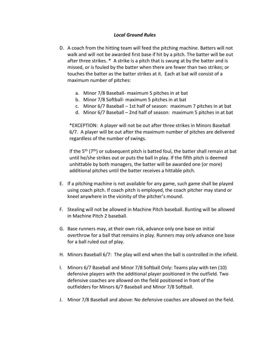- D. A coach from the hitting team will feed the pitching machine. Batters will not walk and will not be awarded first base if hit by a pitch. The batter will be out after three strikes. \* A strike is a pitch that is swung at by the batter and is missed, or is fouled by the batter when there are fewer than two strikes; or touches the batter as the batter strikes at it. Each at bat will consist of a maximum number of pitches:
	- a. Minor 7/8 Baseball- maximum 5 pitches in at bat
	- b. Minor 7/8 Softball- maximum 5 pitches in at bat
	- c. Minor 6/7 Baseball 1st half of season: maximum 7 pitches in at bat
	- d. Minor 6/7 Baseball 2nd half of season: maximum 5 pitches in at bat

\*EXCEPTION: A player will not be out after three strikes in Minors Baseball 6/7. A player will be out after the maximum number of pitches are delivered regardless of the number of swings.

If the 5<sup>th</sup> ( $7<sup>th</sup>$ ) or subsequent pitch is batted foul, the batter shall remain at bat until he/she strikes out or puts the ball in play. If the fifth pitch is deemed unhittable by both managers, the batter will be awarded one (or more) additional pitches until the batter receives a hittable pitch.

- E. If a pitching machine is not available for any game, such game shall be played using coach pitch. If coach pitch is employed, the coach pitcher may stand or kneel anywhere in the vicinity of the pitcher's mound.
- F. Stealing will not be allowed in Machine Pitch baseball. Bunting will be allowed in Machine Pitch 2 baseball.
- G. Base runners may, at their own risk, advance only one base on initial overthrow for a ball that remains in play. Runners may only advance one base for a ball ruled out of play.
- H. Minors Baseball 6/7: The play will end when the ball is controlled in the infield.
- I. Minors 6/7 Baseball and Minor 7/8 Softball Only: Teams play with ten (10) defensive players with the additional player positioned in the outfield. Two defensive coaches are allowed on the field positioned in front of the outfielders for Minors 6/7 Baseball and Minor 7/8 Softball.
- J. Minor 7/8 Baseball and above: No defensive coaches are allowed on the field.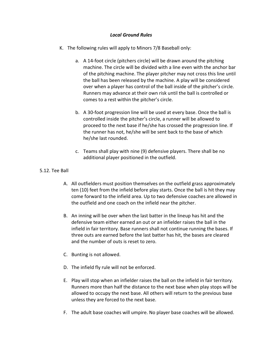- K. The following rules will apply to Minors 7/8 Baseball only:
	- a. A 14-foot circle (pitchers circle) will be drawn around the pitching machine. The circle will be divided with a line even with the anchor bar of the pitching machine. The player pitcher may not cross this line until the ball has been released by the machine. A play will be considered over when a player has control of the ball inside of the pitcher's circle. Runners may advance at their own risk until the ball is controlled or comes to a rest within the pitcher's circle.
	- b. A 30-foot progression line will be used at every base. Once the ball is controlled inside the pitcher's circle, a runner will be allowed to proceed to the next base if he/she has crossed the progression line. If the runner has not, he/she will be sent back to the base of which he/she last rounded.
	- c. Teams shall play with nine (9) defensive players. There shall be no additional player positioned in the outfield.

## 5.12. Tee Ball

- A. All outfielders must position themselves on the outfield grass approximately ten (10) feet from the infield before play starts. Once the ball is hit they may come forward to the infield area. Up to two defensive coaches are allowed in the outfield and one coach on the infield near the pitcher.
- B. An inning will be over when the last batter in the lineup has hit and the defensive team either earned an out or an infielder raises the ball in the infield in fair territory. Base runners shall not continue running the bases. If three outs are earned before the last batter has hit, the bases are cleared and the number of outs is reset to zero.
- C. Bunting is not allowed.
- D. The infield fly rule will not be enforced.
- E. Play will stop when an infielder raises the ball on the infield in fair territory. Runners more than half the distance to the next base when play stops will be allowed to occupy the next base. All others will return to the previous base unless they are forced to the next base.
- F. The adult base coaches will umpire. No player base coaches will be allowed.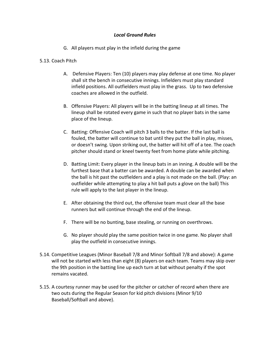G. All players must play in the infield during the game

#### 5.13. Coach Pitch

- A. Defensive Players: Ten (10) players may play defense at one time. No player shall sit the bench in consecutive innings. Infielders must play standard infield positions. All outfielders must play in the grass. Up to two defensive coaches are allowed in the outfield.
- B. Offensive Players: All players will be in the batting lineup at all times. The lineup shall be rotated every game in such that no player bats in the same place of the lineup.
- C. Batting: Offensive Coach will pitch 3 balls to the batter. If the last ball is fouled, the batter will continue to bat until they put the ball in play, misses, or doesn't swing. Upon striking out, the batter will hit off of a tee. The coach pitcher should stand or kneel twenty feet from home plate while pitching.
- D. Batting Limit: Every player in the lineup bats in an inning. A double will be the furthest base that a batter can be awarded. A double can be awarded when the ball is hit past the outfielders and a play is not made on the ball. (Play: an outfielder while attempting to play a hit ball puts a glove on the ball) This rule will apply to the last player in the lineup.
- E. After obtaining the third out, the offensive team must clear all the base runners but will continue through the end of the lineup.
- F. There will be no bunting, base stealing, or running on overthrows.
- G. No player should play the same position twice in one game. No player shall play the outfield in consecutive innings.
- 5.14. Competitive Leagues (Minor Baseball 7/8 and Minor Softball 7/8 and above): A game will not be started with less than eight (8) players on each team. Teams may skip over the 9th position in the batting line up each turn at bat without penalty if the spot remains vacated.
- 5.15. A courtesy runner may be used for the pitcher or catcher of record when there are two outs during the Regular Season for kid pitch divisions (Minor 9/10 Baseball/Softball and above).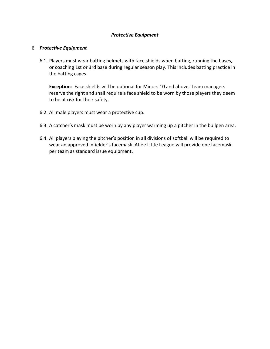## Protective Equipment

#### 6. Protective Equipment

6.1. Players must wear batting helmets with face shields when batting, running the bases, or coaching 1st or 3rd base during regular season play. This includes batting practice in the batting cages.

Exception: Face shields will be optional for Minors 10 and above. Team managers reserve the right and shall require a face shield to be worn by those players they deem to be at risk for their safety.

- 6.2. All male players must wear a protective cup.
- 6.3. A catcher's mask must be worn by any player warming up a pitcher in the bullpen area.
- 6.4. All players playing the pitcher's position in all divisions of softball will be required to wear an approved infielder's facemask. Atlee Little League will provide one facemask per team as standard issue equipment.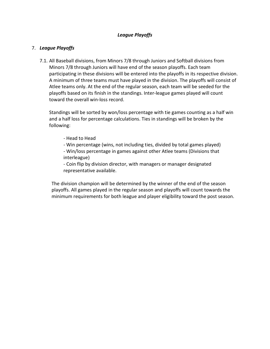## League Playoffs

## 7. League Playoffs

7.1. All Baseball divisions, from Minors 7/8 through Juniors and Softball divisions from Minors 7/8 through Juniors will have end of the season playoffs. Each team participating in these divisions will be entered into the playoffs in its respective division. A minimum of three teams must have played in the division. The playoffs will consist of Atlee teams only. At the end of the regular season, each team will be seeded for the playoffs based on its finish in the standings. Inter-league games played will count toward the overall win-loss record.

Standings will be sorted by won/loss percentage with tie games counting as a half win and a half loss for percentage calculations. Ties in standings will be broken by the following:

- Head to Head
- Win percentage (wins, not including ties, divided by total games played)
- Win/loss percentage in games against other Atlee teams (Divisions that interleague)

 - Coin flip by division director, with managers or manager designated representative available.

The division champion will be determined by the winner of the end of the season playoffs. All games played in the regular season and playoffs will count towards the minimum requirements for both league and player eligibility toward the post season.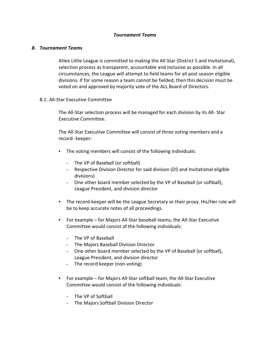#### 8. Tournament Teams

Atlee Little League is committed to making the All-Star (District 5 and Invitational), selection process as transparent, accountable and inclusive as possible. In all circumstances, the League will attempt to field teams for all post season eligible divisions. If for some reason a team cannot be fielded, then this decision must be voted on and approved by majority vote of the ALL Board of Directors.

#### 8.1. All-Star Executive Committee

The All-Star selection process will be managed for each division by its All- Star Executive Committee.

The All-Star Executive Committee will consist of three voting members and a record- keeper:

- The voting members will consist of the following individuals:
	- The VP of Baseball (or softball)
	- Respective Division Director for said division (D5 and Invitational eligible divisions)
	- One other board member selected by the VP of Baseball (or softball), League President, and division director
- The record-keeper will be the League Secretary or their proxy. His/Her role will be to keep accurate notes of all proceedings.
- For example for Majors All-Star baseball teams, the All-Star Executive Committee would consist of the following individuals:
	- The VP of Baseball
	- The Majors Baseball Division Director
	- One other board member selected by the VP of Baseball (or softball), League President, and division director
	- The record keeper (non-voting)
- For example for Majors All-Star softball team, the All-Star Executive Committee would consist of the following individuals:
	- The VP of Softball
	- The Majors Softball Division Director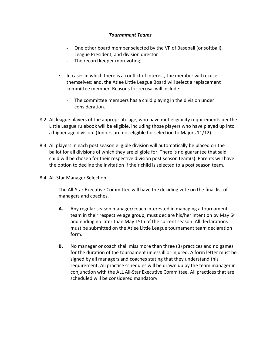- One other board member selected by the VP of Baseball (or softball), League President, and division director
- The record keeper (non-voting)
- In cases in which there is a conflict of interest, the member will recuse themselves: and, the Atlee Little League Board will select a replacement committee member. Reasons for recusal will include:
	- The committee members has a child playing in the division under consideration.
- 8.2. All league players of the appropriate age, who have met eligibility requirements per the Little League rulebook will be eligible, including those players who have played up into a higher age division. (Juniors are not eligible for selection to Majors 11/12).
- 8.3. All players in each post season eligible division will automatically be placed on the ballot for all divisions of which they are eligible for. There is no guarantee that said child will be chosen for their respective division post season team(s). Parents will have the option to decline the invitation if their child is selected to a post season team.
- 8.4. All-Star Manager Selection

The All-Star Executive Committee will have the deciding vote on the final list of managers and coaches.

- A. Any regular season manager/coach interested in managing a tournament team in their respective age group, must declare his/her intention by May  $6<sup>th</sup>$ and ending no later than May 15th of the current season. All declarations must be submitted on the Atlee Little League tournament team declaration form.
- B. No manager or coach shall miss more than three (3) practices and no games for the duration of the tournament unless ill or injured. A form letter must be signed by all managers and coaches stating that they understand this requirement. All practice schedules will be drawn up by the team manager in conjunction with the ALL All-Star Executive Committee. All practices that are scheduled will be considered mandatory.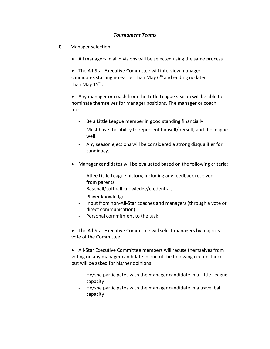- C. Manager selection:
	- All managers in all divisions will be selected using the same process

 The All-Star Executive Committee will interview manager candidates starting no earlier than May  $6<sup>th</sup>$  and ending no later than May 15<sup>th</sup>.

 Any manager or coach from the Little League season will be able to nominate themselves for manager positions. The manager or coach must:

- Be a Little League member in good standing financially
- Must have the ability to represent himself/herself, and the league well.
- Any season ejections will be considered a strong disqualifier for candidacy.
- Manager candidates will be evaluated based on the following criteria:
	- Atlee Little League history, including any feedback received from parents
	- Baseball/softball knowledge/credentials
	- Player knowledge
	- Input from non-All-Star coaches and managers (through a vote or direct communication)
	- Personal commitment to the task

 The All-Star Executive Committee will select managers by majority vote of the Committee.

 All-Star Executive Committee members will recuse themselves from voting on any manager candidate in one of the following circumstances, but will be asked for his/her opinions:

- He/she participates with the manager candidate in a Little League capacity
- He/she participates with the manager candidate in a travel ball capacity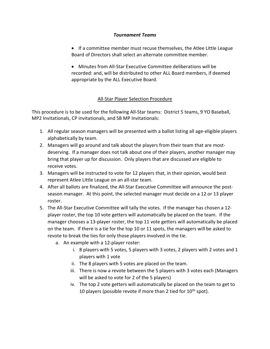- If a committee member must recuse themselves, the Atlee Little League Board of Directors shall select an alternate committee member.
- Minutes from All-Star Executive Committee deliberations will be recorded: and, will be distributed to other ALL Board members, if deemed appropriate by the ALL Executive Board.

## All-Star Player Selection Procedure

This procedure is to be used for the following All-Star teams: District 5 teams, 9 YO Baseball, MP2 Invitationals, CP invitationals, and SB MP Invitationals:

- 1. All regular season managers will be presented with a ballot listing all age-eligible players alphabetically by team.
- 2. Managers will go around and talk about the players from their team that are mostdeserving. If a manager does not talk about one of their players, another manager may bring that player up for discussion. Only players that are discussed are eligible to receive votes.
- 3. Managers will be instructed to vote for 12 players that, in their opinion, would best represent Atlee Little League on an all-star team.
- 4. After all ballots are finalized, the All-Star Executive Committee will announce the postseason manager. At this point, the selected manager must decide on a 12 or 13 player roster.
- 5. The All-Star Executive Committee will tally the votes. If the manager has chosen a 12 player roster, the top 10 vote getters will automatically be placed on the team. If the manager chooses a 13-player roster, the top 11 vote getters will automatically be placed on the team. If there is a tie for the top 10 or 11 spots, the managers will be asked to revote to break the ties for only those players involved in the tie.
	- a. An example with a 12-player roster:
		- i. 8 players with 5 votes, 5 players with 3 votes, 2 players with 2 votes and 1 players with 1 vote
		- ii. The 8 players with 5 votes are placed on the team.
		- iii. There is now a revote between the 5 players with 3 votes each (Managers will be asked to vote for 2 of the 5 players)
		- iv. The top 2 vote getters will automatically be placed on the team to get to 10 players (possible revote if more than 2 tied for  $10<sup>th</sup>$  spot).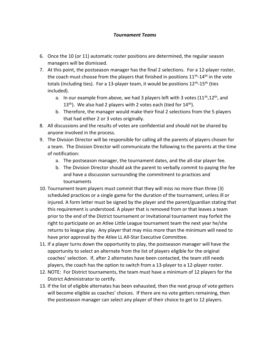- 6. Once the 10 (or 11) automatic roster positions are determined, the regular season managers will be dismissed.
- 7. At this point, the postseason manager has the final 2 selections. For a 12-player roster, the coach must choose from the players that finished in positions  $11<sup>th</sup>$ -14<sup>th</sup> in the vote totals (including ties). For a 13-player team, it would be positions  $12^{th}$ -15<sup>th</sup> (ties included).
	- a. In our example from above, we had 3 players left with 3 votes  $(11^{th}, 12^{th},$  and  $13<sup>th</sup>$ ). We also had 2 players with 2 votes each (tied for  $14<sup>th</sup>$ ).
	- b. Therefore, the manager would make their final 2 selections from the 5 players that had either 2 or 3 votes originally.
- 8. All discussions and the results of votes are confidential and should not be shared by anyone involved in the process.
- 9. The Division Director will be responsible for calling all the parents of players chosen for a team. The Division Director will communicate the following to the parents at the time of notification:
	- a. The postseason manager, the tournament dates, and the all-star player fee.
	- b. The Division Director should ask the parent to verbally commit to paying the fee and have a discussion surrounding the commitment to practices and tournaments
- 10. Tournament team players must commit that they will miss no more than three (3) scheduled practices or a single game for the duration of the tournament, unless ill or injured. A form letter must be signed by the player and the parent/guardian stating that this requirement is understood. A player that is removed from or that leaves a team prior to the end of the District tournament or Invitational tournament may forfeit the right to participate on an Atlee Little League tournament team the next year he/she returns to league play. Any player that may miss more than the minimum will need to have prior approval by the Atlee LL All-Star Executive Committee.
- 11. If a player turns down the opportunity to play, the postseason manager will have the opportunity to select an alternate from the list of players eligible for the original coaches' selection. If, after 2 alternates have been contacted, the team still needs players, the coach has the option to switch from a 13-player to a 12-player roster.
- 12. NOTE: For District tournaments, the team must have a minimum of 12 players for the District Administrator to certify.
- 13. If the list of eligible alternates has been exhausted, then the next group of vote getters will become eligible as coaches' choices. If there are no vote getters remaining, then the postseason manager can select any player of their choice to get to 12 players.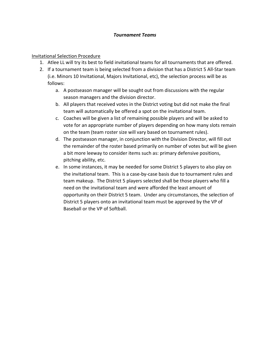## Invitational Selection Procedure

- 1. Atlee LL will try its best to field invitational teams for all tournaments that are offered.
- 2. If a tournament team is being selected from a division that has a District 5 All-Star team (i.e. Minors 10 Invitational, Majors Invitational, etc), the selection process will be as follows:
	- a. A postseason manager will be sought out from discussions with the regular season managers and the division director.
	- b. All players that received votes in the District voting but did not make the final team will automatically be offered a spot on the invitational team.
	- c. Coaches will be given a list of remaining possible players and will be asked to vote for an appropriate number of players depending on how many slots remain on the team (team roster size will vary based on tournament rules).
	- d. The postseason manager, in conjunction with the Division Director, will fill out the remainder of the roster based primarily on number of votes but will be given a bit more leeway to consider items such as: primary defensive positions, pitching ability, etc.
	- e. In some instances, it may be needed for some District 5 players to also play on the invitational team. This is a case-by-case basis due to tournament rules and team makeup. The District 5 players selected shall be those players who fill a need on the invitational team and were afforded the least amount of opportunity on their District 5 team. Under any circumstances, the selection of District 5 players onto an invitational team must be approved by the VP of Baseball or the VP of Softball.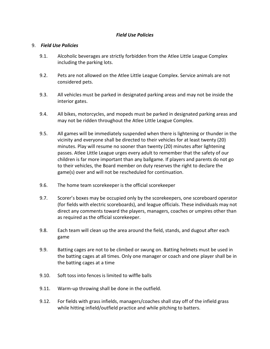## Field Use Policies

#### 9. Field Use Policies

- 9.1. Alcoholic beverages are strictly forbidden from the Atlee Little League Complex including the parking lots.
- 9.2. Pets are not allowed on the Atlee Little League Complex. Service animals are not considered pets.
- 9.3. All vehicles must be parked in designated parking areas and may not be inside the interior gates.
- 9.4. All bikes, motorcycles, and mopeds must be parked in designated parking areas and may not be ridden throughout the Atlee Little League Complex.
- 9.5. All games will be immediately suspended when there is lightening or thunder in the vicinity and everyone shall be directed to their vehicles for at least twenty (20) minutes. Play will resume no sooner than twenty (20) minutes after lightening passes. Atlee Little League urges every adult to remember that the safety of our children is far more important than any ballgame. If players and parents do not go to their vehicles, the Board member on duty reserves the right to declare the game(s) over and will not be rescheduled for continuation.
- 9.6. The home team scorekeeper is the official scorekeeper
- 9.7. Scorer's boxes may be occupied only by the scorekeepers, one scoreboard operator (for fields with electric scoreboards), and league officials. These individuals may not direct any comments toward the players, managers, coaches or umpires other than as required as the official scorekeeper.
- 9.8. Each team will clean up the area around the field, stands, and dugout after each game
- 9.9. Batting cages are not to be climbed or swung on. Batting helmets must be used in the batting cages at all times. Only one manager or coach and one player shall be in the batting cages at a time
- 9.10. Soft toss into fences is limited to wiffle balls
- 9.11. Warm-up throwing shall be done in the outfield.
- 9.12. For fields with grass infields, managers/coaches shall stay off of the infield grass while hitting infield/outfield practice and while pitching to batters.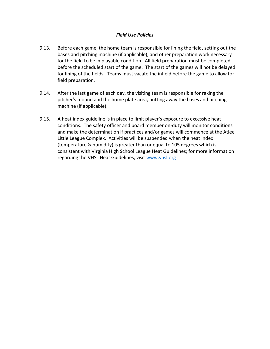## Field Use Policies

- 9.13. Before each game, the home team is responsible for lining the field, setting out the bases and pitching machine (if applicable), and other preparation work necessary for the field to be in playable condition. All field preparation must be completed before the scheduled start of the game. The start of the games will not be delayed for lining of the fields. Teams must vacate the infield before the game to allow for field preparation.
- 9.14. After the last game of each day, the visiting team is responsible for raking the pitcher's mound and the home plate area, putting away the bases and pitching machine (if applicable).
- 9.15. A heat index guideline is in place to limit player's exposure to excessive heat conditions. The safety officer and board member on-duty will monitor conditions and make the determination if practices and/or games will commence at the Atlee Little League Complex. Activities will be suspended when the heat index (temperature & humidity) is greater than or equal to 105 degrees which is consistent with Virginia High School League Heat Guidelines; for more information regarding the VHSL Heat Guidelines, visit www.vhsl.org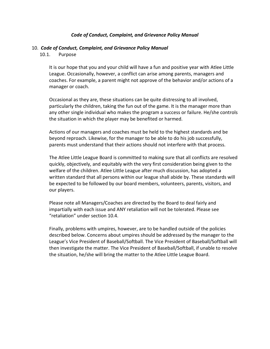#### Code of Conduct, Complaint, and Grievance Policy Manual

#### 10. Code of Conduct, Complaint, and Grievance Policy Manual

10.1. Purpose

It is our hope that you and your child will have a fun and positive year with Atlee Little League. Occasionally, however, a conflict can arise among parents, managers and coaches. For example, a parent might not approve of the behavior and/or actions of a manager or coach.

Occasional as they are, these situations can be quite distressing to all involved, particularly the children, taking the fun out of the game. It is the manager more than any other single individual who makes the program a success or failure. He/she controls the situation in which the player may be benefited or harmed.

Actions of our managers and coaches must be held to the highest standards and be beyond reproach. Likewise, for the manager to be able to do his job successfully, parents must understand that their actions should not interfere with that process.

The Atlee Little League Board is committed to making sure that all conflicts are resolved quickly, objectively, and equitably with the very first consideration being given to the welfare of the children. Atlee Little League after much discussion, has adopted a written standard that all persons within our league shall abide by. These standards will be expected to be followed by our board members, volunteers, parents, visitors, and our players.

Please note all Managers/Coaches are directed by the Board to deal fairly and impartially with each issue and ANY retaliation will not be tolerated. Please see "retaliation" under section 10.4.

Finally, problems with umpires, however, are to be handled outside of the policies described below. Concerns about umpires should be addressed by the manager to the League's Vice President of Baseball/Softball. The Vice President of Baseball/Softball will then investigate the matter. The Vice President of Baseball/Softball, if unable to resolve the situation, he/she will bring the matter to the Atlee Little League Board.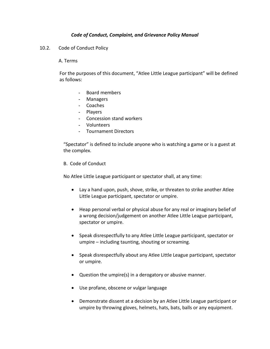## Code of Conduct, Complaint, and Grievance Policy Manual

10.2. Code of Conduct Policy

#### A. Terms

For the purposes of this document, "Atlee Little League participant" will be defined as follows:

- Board members
- Managers
- Coaches
- Players
- Concession stand workers
- Volunteers
- Tournament Directors

"Spectator" is defined to include anyone who is watching a game or is a guest at the complex.

B. Code of Conduct

No Atlee Little League participant or spectator shall, at any time:

- Lay a hand upon, push, shove, strike, or threaten to strike another Atlee Little League participant, spectator or umpire.
- Heap personal verbal or physical abuse for any real or imaginary belief of a wrong decision/judgement on another Atlee Little League participant, spectator or umpire.
- Speak disrespectfully to any Atlee Little League participant, spectator or umpire – including taunting, shouting or screaming.
- Speak disrespectfully about any Atlee Little League participant, spectator or umpire.
- Question the umpire(s) in a derogatory or abusive manner.
- Use profane, obscene or vulgar language
- Demonstrate dissent at a decision by an Atlee Little League participant or umpire by throwing gloves, helmets, hats, bats, balls or any equipment.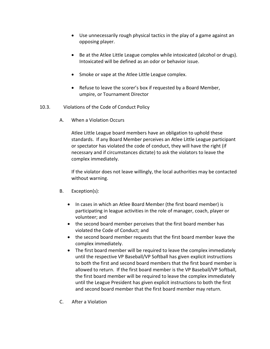- Use unnecessarily rough physical tactics in the play of a game against an opposing player.
- Be at the Atlee Little League complex while intoxicated (alcohol or drugs). Intoxicated will be defined as an odor or behavior issue.
- Smoke or vape at the Atlee Little League complex.
- Refuse to leave the scorer's box if requested by a Board Member, umpire, or Tournament Director
- 10.3. Violations of the Code of Conduct Policy
	- A. When a Violation Occurs

Atlee Little League board members have an obligation to uphold these standards. If any Board Member perceives an Atlee Little League participant or spectator has violated the code of conduct, they will have the right (if necessary and if circumstances dictate) to ask the violators to leave the complex immediately.

If the violator does not leave willingly, the local authorities may be contacted without warning.

- B. Exception(s):
	- In cases in which an Atlee Board Member (the first board member) is participating in league activities in the role of manager, coach, player or volunteer; and
	- the second board member perceives that the first board member has violated the Code of Conduct; and
	- the second board member requests that the first board member leave the complex immediately.
	- The first board member will be required to leave the complex immediately until the respective VP Baseball/VP Softball has given explicit instructions to both the first and second board members that the first board member is allowed to return. If the first board member is the VP Baseball/VP Softball, the first board member will be required to leave the complex immediately until the League President has given explicit instructions to both the first and second board member that the first board member may return.
- C. After a Violation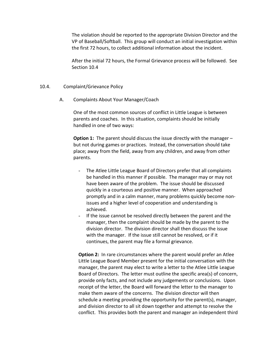The violation should be reported to the appropriate Division Director and the VP of Baseball/Softball. This group will conduct an initial investigation within the first 72 hours, to collect additional information about the incident.

After the initial 72 hours, the Formal Grievance process will be followed. See Section 10.4

#### 10.4. Complaint/Grievance Policy

A. Complaints About Your Manager/Coach

One of the most common sources of conflict in Little League is between parents and coaches. In this situation, complaints should be initially handled in one of two ways:

**Option 1:** The parent should discuss the issue directly with the manager  $$ but not during games or practices. Instead, the conversation should take place; away from the field, away from any children, and away from other parents.

- The Atlee Little League Board of Directors prefer that all complaints be handled in this manner if possible. The manager may or may not have been aware of the problem. The issue should be discussed quickly in a courteous and positive manner. When approached promptly and in a calm manner, many problems quickly become nonissues and a higher level of cooperation and understanding is achieved.
- If the issue cannot be resolved directly between the parent and the manager, then the complaint should be made by the parent to the division director. The division director shall then discuss the issue with the manager. If the issue still cannot be resolved, or if it continues, the parent may file a formal grievance.

**Option 2:** In rare circumstances where the parent would prefer an Atlee Little League Board Member present for the initial conversation with the manager, the parent may elect to write a letter to the Atlee Little League Board of Directors. The letter must outline the specific area(s) of concern, provide only facts, and not include any judgements or conclusions. Upon receipt of the letter, the Board will forward the letter to the manager to make them aware of the concerns. The division director will then schedule a meeting providing the opportunity for the parent(s), manager, and division director to all sit down together and attempt to resolve the conflict. This provides both the parent and manager an independent third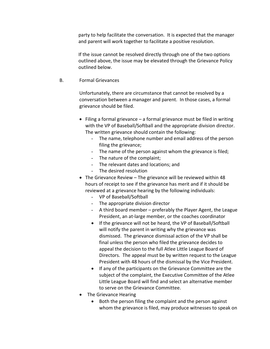party to help facilitate the conversation. It is expected that the manager and parent will work together to facilitate a positive resolution.

If the issue cannot be resolved directly through one of the two options outlined above, the issue may be elevated through the Grievance Policy outlined below.

B. Formal Grievances

Unfortunately, there are circumstance that cannot be resolved by a conversation between a manager and parent. In those cases, a formal grievance should be filed.

- $\bullet$  Filing a formal grievance a formal grievance must be filed in writing with the VP of Baseball/Softball and the appropriate division director. The written grievance should contain the following:
	- The name, telephone number and email address of the person filing the grievance;
	- The name of the person against whom the grievance is filed;
	- The nature of the complaint;
	- The relevant dates and locations; and
	- The desired resolution
- The Grievance Review The grievance will be reviewed within 48 hours of receipt to see if the grievance has merit and if it should be reviewed at a grievance hearing by the following individuals:
	- VP of Baseball/Softball
	- The appropriate division director
	- A third board member preferably the Player Agent, the League President, an at-large member, or the coaches coordinator
	- If the grievance will not be heard, the VP of Baseball/Softball will notify the parent in writing why the grievance was dismissed. The grievance dismissal action of the VP shall be final unless the person who filed the grievance decides to appeal the decision to the full Atlee Little League Board of Directors. The appeal must be by written request to the League President with 48 hours of the dismissal by the Vice President.
	- If any of the participants on the Grievance Committee are the subject of the complaint, the Executive Committee of the Atlee Little League Board will find and select an alternative member to serve on the Grievance Committee.
- The Grievance Hearing
	- Both the person filing the complaint and the person against whom the grievance is filed, may produce witnesses to speak on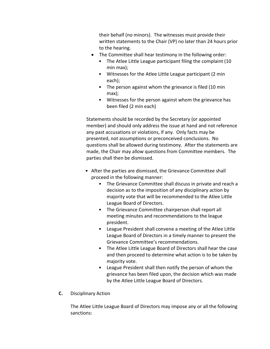their behalf (no minors). The witnesses must provide their written statements to the Chair (VP) no later than 24 hours prior to the hearing.

- The Committee shall hear testimony in the following order:
	- The Atlee Little League participant filing the complaint (10 min max);
	- Witnesses for the Atlee Little League participant (2 min each);
	- The person against whom the grievance is filed (10 min max);
	- Witnesses for the person against whom the grievance has been filed (2 min each)

Statements should be recorded by the Secretary (or appointed member) and should only address the issue at hand and not reference any past accusations or violations, if any. Only facts may be presented, not assumptions or preconceived conclusions. No questions shall be allowed during testimony. After the statements are made, the Chair may allow questions from Committee members. The parties shall then be dismissed.

- After the parties are dismissed, the Grievance Committee shall proceed in the following manner:
	- The Grievance Committee shall discuss in private and reach a decision as to the imposition of any disciplinary action by majority vote that will be recommended to the Atlee Little League Board of Directors.
	- The Grievance Committee chairperson shall report all meeting minutes and recommendations to the league president.
	- League President shall convene a meeting of the Atlee Little League Board of Directors in a timely manner to present the Grievance Committee's recommendations.
	- The Atlee Little League Board of Directors shall hear the case and then proceed to determine what action is to be taken by majority vote.
	- League President shall then notify the person of whom the grievance has been filed upon, the decision which was made by the Atlee Little League Board of Directors.
- C. Disciplinary Action

The Atlee Little League Board of Directors may impose any or all the following sanctions: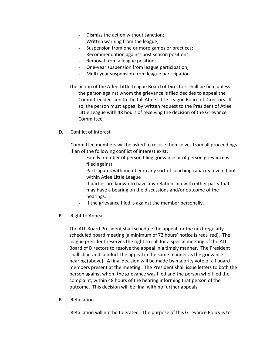- Dismiss the action without sanction;
- Written warning from the league;
- Suspension from one or more games or practices;
- Recommendation against post season positions;
- Removal from a league position;
- One-year suspension from league participation;
- Multi-year suspension from league participation
- The action of the Atlee Little League Board of Directors shall be final unless the person against whom the grievance is filed decides to appeal the Committee decision to the full Atlee Little League Board of Directors. If so, the person must appeal by written request to the President of Atlee Little League with 48 hours of receiving the decision of the Grievance Committee.
- D. Conflict of Interest

Committee members will be asked to recuse themselves from all proceedings if an of the following conflict of interest exist:

- Family member of person filing grievance or of person grievance is filed against.
- Participates with member in any sort of coaching capacity, even if not within Atlee Little League
- If parties are known to have any relationship with either party that may have a bearing on the discussions and/or outcome of the hearings.
- If the grievance filed is against the member personally.
- E. Right to Appeal

The ALL Board President shall schedule the appeal for the next regularly scheduled board meeting (a minimum of 72 hours' notice is required). The league president reserves the right to call for a special meeting of the ALL Board of Directors to resolve the appeal in a timely manner. The President shall chair and conduct the appeal in the same manner as the grievance hearing (above). A final decision will be made by majority vote of all board members present at the meeting. The President shall issue letters to both the person against whom the grievance was filed and the person who filed the complaint, within 48 hours of the hearing informing that person of the outcome. This decision will be final with no further appeals.

F. Retaliation

Retaliation will not be tolerated. The purpose of this Grievance Policy is to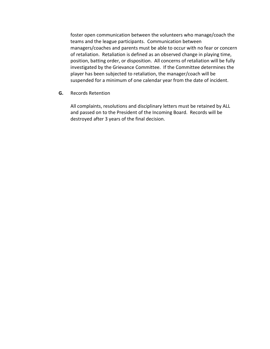foster open communication between the volunteers who manage/coach the teams and the league participants. Communication between managers/coaches and parents must be able to occur with no fear or concern of retaliation. Retaliation is defined as an observed change in playing time, position, batting order, or disposition. All concerns of retaliation will be fully investigated by the Grievance Committee. If the Committee determines the player has been subjected to retaliation, the manager/coach will be suspended for a minimum of one calendar year from the date of incident.

G. Records Retention

All complaints, resolutions and disciplinary letters must be retained by ALL and passed on to the President of the Incoming Board. Records will be destroyed after 3 years of the final decision.